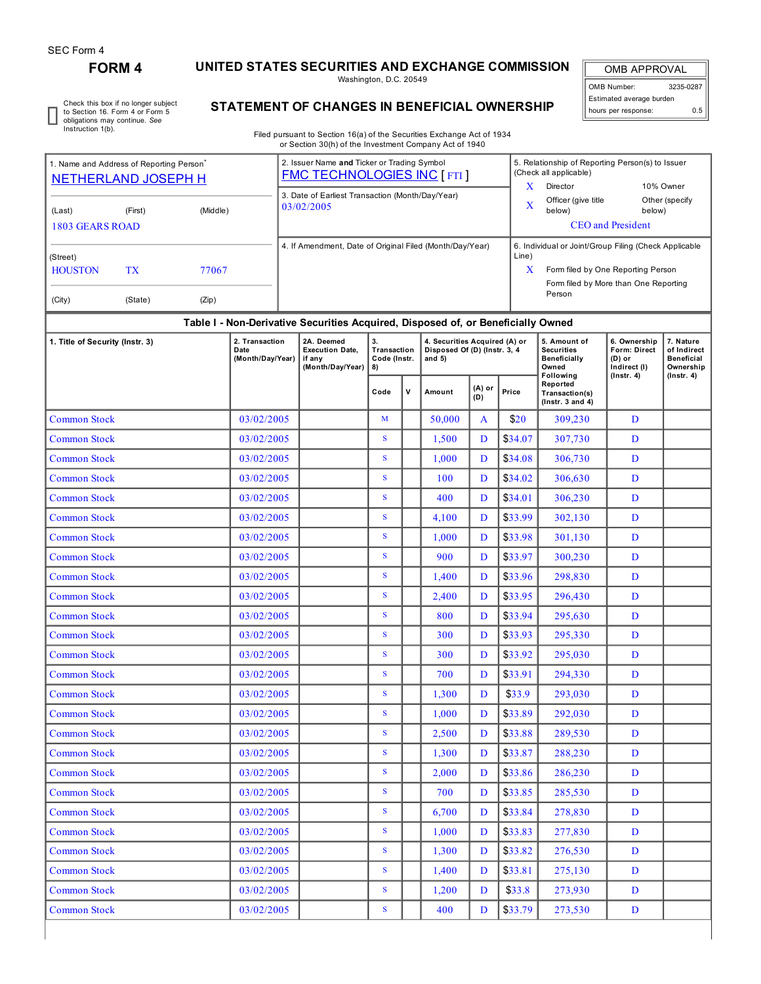## **FORM 4 UNITED STATES SECURITIES AND EXCHANGE COMMISSION**

Washington, D.C. 20549

OMB APPROVAL OMB Number: 3235-0287 Estimated average burden hours per response: 0.5

Check this box if no longer subject to Section 16. Form 4 or Form 5 obligations may continue. *See* Instruction 1(b).

## **STATEMENT OF CHANGES IN BENEFICIAL OWNERSHIP**

Filed pursuant to Section 16(a) of the Securities Exchange Act of 1934 or Section 30(h) of the Investment Company Act of 1940

| 1. Name and Address of Reporting Person |            |                                            | 2. Issuer Name and Ticker or Trading Symbol<br><b>FMC TECHNOLOGIES INC [ FTI ]</b> |                                                                    |                                                                                  |             |                                                                           | 5. Relationship of Reporting Person(s) to Issuer<br>(Check all applicable) |               |                                                                   |                                                                   |                                                            |                  |  |  |
|-----------------------------------------|------------|--------------------------------------------|------------------------------------------------------------------------------------|--------------------------------------------------------------------|----------------------------------------------------------------------------------|-------------|---------------------------------------------------------------------------|----------------------------------------------------------------------------|---------------|-------------------------------------------------------------------|-------------------------------------------------------------------|------------------------------------------------------------|------------------|--|--|
| <b>NETHERLAND JOSEPH H</b>              |            |                                            | 3. Date of Earliest Transaction (Month/Day/Year)                                   |                                                                    |                                                                                  |             | $\bf{X}$                                                                  | Director                                                                   |               | 10% Owner                                                         |                                                                   |                                                            |                  |  |  |
| (Middle)<br>(First)<br>(Last)           |            |                                            |                                                                                    |                                                                    | 03/02/2005                                                                       |             |                                                                           |                                                                            | X             | below)                                                            | Officer (give title<br>Other (specify<br>below)                   |                                                            |                  |  |  |
| <b>1803 GEARS ROAD</b>                  |            |                                            |                                                                                    |                                                                    |                                                                                  |             |                                                                           |                                                                            |               |                                                                   | <b>CEO</b> and President                                          |                                                            |                  |  |  |
|                                         |            |                                            |                                                                                    |                                                                    | 4. If Amendment, Date of Original Filed (Month/Day/Year)                         |             |                                                                           |                                                                            |               | 6. Individual or Joint/Group Filing (Check Applicable             |                                                                   |                                                            |                  |  |  |
| (Street)<br><b>HOUSTON</b>              | <b>TX</b>  | 77067                                      |                                                                                    |                                                                    |                                                                                  |             |                                                                           |                                                                            | Line)<br>X    | Form filed by One Reporting Person                                |                                                                   |                                                            |                  |  |  |
|                                         |            |                                            |                                                                                    |                                                                    |                                                                                  |             |                                                                           |                                                                            |               | Form filed by More than One Reporting<br>Person                   |                                                                   |                                                            |                  |  |  |
| (City)                                  | (State)    | (Zip)                                      |                                                                                    |                                                                    |                                                                                  |             |                                                                           |                                                                            |               |                                                                   |                                                                   |                                                            |                  |  |  |
|                                         |            |                                            |                                                                                    |                                                                    | Table I - Non-Derivative Securities Acquired, Disposed of, or Beneficially Owned |             |                                                                           |                                                                            |               |                                                                   |                                                                   |                                                            |                  |  |  |
| 1. Title of Security (Instr. 3)         |            | 2. Transaction<br>Date<br>(Month/Day/Year) |                                                                                    | 2A. Deemed<br><b>Execution Date,</b><br>if any<br>(Month/Day/Year) | 3.<br>Transaction<br>Code (Instr.<br>8)                                          |             | 4. Securities Acquired (A) or<br>Disposed Of (D) (Instr. 3, 4<br>and $5)$ |                                                                            |               | 5. Amount of<br><b>Securities</b><br><b>Beneficially</b><br>Owned | 6. Ownership<br>Form: Direct<br>(D) or<br>Indirect (I)            | 7. Nature<br>of Indirect<br><b>Beneficial</b><br>Ownership |                  |  |  |
|                                         |            |                                            |                                                                                    |                                                                    |                                                                                  | Code        | v                                                                         | Amount                                                                     | (A) or<br>(D) | Price                                                             | Following<br>Reported<br>Transaction(s)<br>$($ Instr. 3 and 4 $)$ | $($ Instr. 4 $)$                                           | $($ Instr. 4 $)$ |  |  |
| <b>Common Stock</b>                     |            |                                            | 03/02/2005                                                                         |                                                                    |                                                                                  | M           |                                                                           | 50,000                                                                     | A             | \$20                                                              | 309,230                                                           | D                                                          |                  |  |  |
| <b>Common Stock</b>                     |            |                                            | 03/02/2005                                                                         |                                                                    |                                                                                  | ${\bf S}$   |                                                                           | 1,500                                                                      | D             | \$34.07                                                           | 307,730                                                           | D                                                          |                  |  |  |
| <b>Common Stock</b>                     |            |                                            | 03/02/2005                                                                         |                                                                    |                                                                                  | S           |                                                                           | 1,000                                                                      | D             | \$34.08                                                           | 306,730                                                           | D                                                          |                  |  |  |
| Common Stock                            |            |                                            | 03/02/2005                                                                         |                                                                    |                                                                                  | ${\bf S}$   |                                                                           | 100                                                                        | D             | \$34.02                                                           | 306,630                                                           | D                                                          |                  |  |  |
| <b>Common Stock</b>                     |            |                                            | 03/02/2005                                                                         |                                                                    |                                                                                  | S           |                                                                           | 400                                                                        | D             | \$34.01                                                           | 306,230                                                           | D                                                          |                  |  |  |
| <b>Common Stock</b>                     |            |                                            | 03/02/2005                                                                         |                                                                    |                                                                                  | S           |                                                                           | 4,100                                                                      | D             | \$33.99                                                           | 302,130                                                           | D                                                          |                  |  |  |
| Common Stock                            |            |                                            | 03/02/2005                                                                         |                                                                    |                                                                                  | ${\bf S}$   |                                                                           | 1,000                                                                      | D             | \$33.98                                                           | 301,130                                                           | D                                                          |                  |  |  |
| <b>Common Stock</b>                     |            |                                            | 03/02/2005                                                                         |                                                                    |                                                                                  | ${\bf S}$   |                                                                           | 900                                                                        | D             | \$33.97                                                           | 300,230                                                           | D                                                          |                  |  |  |
| Common Stock                            | 03/02/2005 |                                            |                                                                                    | S                                                                  |                                                                                  | 1,400       | D                                                                         | \$33.96                                                                    | 298,830       | D                                                                 |                                                                   |                                                            |                  |  |  |
| <b>Common Stock</b>                     | 03/02/2005 |                                            |                                                                                    | ${\bf S}$                                                          |                                                                                  | 2,400       | D                                                                         | \$33.95                                                                    | 296,430       | D                                                                 |                                                                   |                                                            |                  |  |  |
| <b>Common Stock</b>                     | 03/02/2005 |                                            |                                                                                    | S                                                                  |                                                                                  | 800         | D                                                                         | \$33.94                                                                    | 295,630       | D                                                                 |                                                                   |                                                            |                  |  |  |
| <b>Common Stock</b>                     |            |                                            | 03/02/2005                                                                         |                                                                    |                                                                                  | S           |                                                                           | 300                                                                        | D             | \$33.93                                                           | 295,330                                                           | D                                                          |                  |  |  |
| <b>Common Stock</b>                     |            |                                            | 03/02/2005                                                                         |                                                                    |                                                                                  | S           |                                                                           | 300                                                                        | D             | \$33.92                                                           | 295,030                                                           | D                                                          |                  |  |  |
| <b>Common Stock</b>                     |            |                                            | 03/02/2005                                                                         |                                                                    |                                                                                  | S           |                                                                           | 700                                                                        | D             | \$33.91                                                           | 294,330                                                           | D                                                          |                  |  |  |
| Common Stock                            |            |                                            | 03/02/2005                                                                         |                                                                    |                                                                                  | ${\bf S}$   |                                                                           | 1,300                                                                      | D             | \$33.9                                                            | 293,030                                                           | D                                                          |                  |  |  |
| <b>Common Stock</b>                     |            |                                            | 03/02/2005                                                                         |                                                                    |                                                                                  | $\mathbf S$ |                                                                           | 1,000                                                                      | D             | \$33.89                                                           | 292,030                                                           | D                                                          |                  |  |  |
| <b>Common Stock</b>                     |            |                                            | 03/02/2005                                                                         |                                                                    |                                                                                  | S           |                                                                           | 2,500                                                                      | D             | \$33.88                                                           | 289,530                                                           | D                                                          |                  |  |  |
| <b>Common Stock</b>                     |            |                                            | 03/02/2005                                                                         |                                                                    |                                                                                  | ${\bf S}$   |                                                                           | 1,300                                                                      | D             | \$33.87                                                           | 288,230                                                           | D                                                          |                  |  |  |
| <b>Common Stock</b>                     |            |                                            | 03/02/2005                                                                         |                                                                    |                                                                                  | ${\bf S}$   |                                                                           | 2,000                                                                      | D             | \$33.86                                                           | 286,230                                                           | D                                                          |                  |  |  |
| <b>Common Stock</b>                     |            |                                            | 03/02/2005                                                                         |                                                                    |                                                                                  | S           |                                                                           | 700                                                                        | D             | \$33.85                                                           | 285,530                                                           | D                                                          |                  |  |  |
| <b>Common Stock</b><br>03/02/2005       |            |                                            |                                                                                    |                                                                    |                                                                                  | S           |                                                                           | 6,700                                                                      | D             | \$33.84                                                           | 278,830                                                           | D                                                          |                  |  |  |
| 03/02/2005<br><b>Common Stock</b>       |            |                                            |                                                                                    |                                                                    |                                                                                  | S           |                                                                           | 1,000                                                                      | D             | \$33.83                                                           | 277,830                                                           | D                                                          |                  |  |  |
| <b>Common Stock</b>                     |            |                                            | 03/02/2005                                                                         |                                                                    |                                                                                  | S           |                                                                           | 1,300                                                                      | D             | \$33.82                                                           | 276,530                                                           | D                                                          |                  |  |  |
| <b>Common Stock</b>                     |            |                                            | 03/02/2005                                                                         |                                                                    |                                                                                  | S           |                                                                           | 1,400                                                                      | D             | \$33.81                                                           | 275,130                                                           | D                                                          |                  |  |  |
| <b>Common Stock</b>                     |            |                                            | 03/02/2005                                                                         |                                                                    |                                                                                  | ${\bf S}$   |                                                                           | 1,200                                                                      | D             | \$33.8                                                            | 273,930                                                           | $\mathbf D$                                                |                  |  |  |

Common Stock 03/02/2005 S 400 D \$33.79 273,530 D